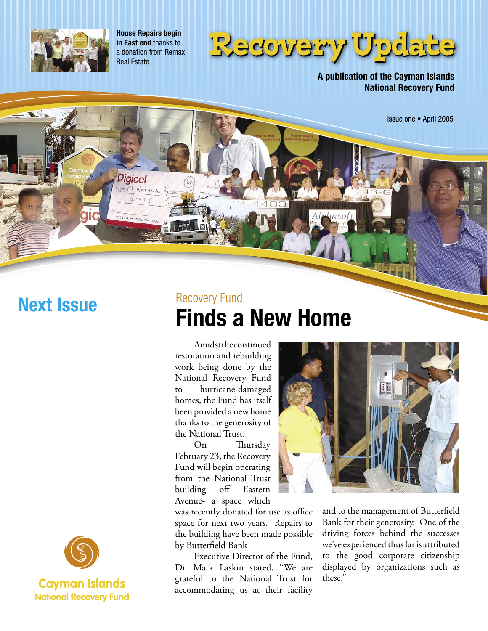

**House Repairs begin in East end** thanks to a donation from Remax Real Estate.

**Digicel** 

CI NATIONAL RECOVER  $41FT$ 



**A publication of the Cayman Islands National Recovery Fund**

Issue one • April 2005



## Recovery Fund **Next Issue** Recovery Fund<br>
Finds a New Home

 Amidst the continued restoration and rebuilding work being done by the National Recovery Fund to hurricane-damaged homes, the Fund has itself been provided a new home thanks to the generosity of the National Trust.

 On Thursday February 23, the Recovery Fund will begin operating from the National Trust building off Eastern Avenue- a space which

was recently donated for use as office space for next two years. Repairs to the building have been made possible by Butterfield Bank

 Executive Director of the Fund, Dr. Mark Laskin stated, "We are grateful to the National Trust for accommodating us at their facility



and to the management of Butterfield Bank for their generosity. One of the driving forces behind the successes we've experienced thus far is attributed to the good corporate citizenship displayed by organizations such as these."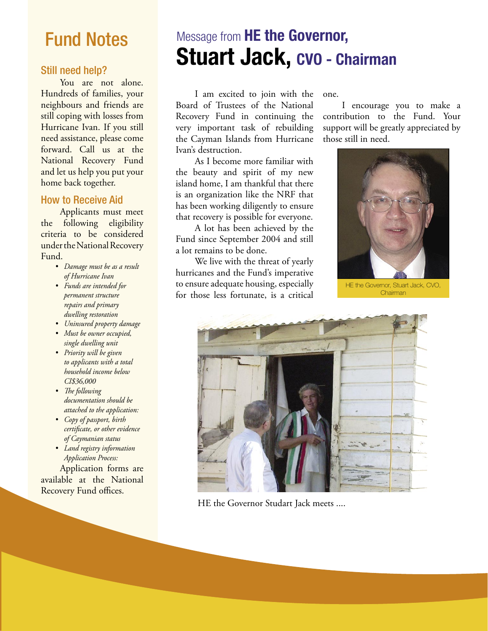## Fund Notes

#### Still need help?

You are not alone. Hundreds of families, your neighbours and friends are still coping with losses from Hurricane Ivan. If you still need assistance, please come forward. Call us at the National Recovery Fund and let us help you put your home back together.

### How to Receive Aid

 Applicants must meet the following eligibility criteria to be considered under the National Recovery Fund.

- *Damage must be as a result of Hurricane Ivan*
- *Funds are intended for permanent structure repairs and primary dwelling restoration*
- *Uninsured property damage*
- *Must be owner occupied, single dwelling unit*
- *Priority will be given to applicants with a total household income below CI\$36,000*
- *The following documentation should be attached to the application:*
- *Copy of passport, birth certificate, or other evidence of Caymanian status*
- *Land registry information Application Process:*

 Application forms are available at the National Recovery Fund offices.

## Message from **HE the Governor, Stuart Jack, CVO - Chairman**

 I am excited to join with the Board of Trustees of the National Recovery Fund in continuing the very important task of rebuilding the Cayman Islands from Hurricane Ivan's destruction.

 As I become more familiar with the beauty and spirit of my new island home, I am thankful that there is an organization like the NRF that has been working diligently to ensure that recovery is possible for everyone.

 A lot has been achieved by the Fund since September 2004 and still a lot remains to be done.

 We live with the threat of yearly hurricanes and the Fund's imperative to ensure adequate housing, especially for those less fortunate, is a critical

one.

 I encourage you to make a contribution to the Fund. Your support will be greatly appreciated by those still in need.



HE the Governor, Stuart Jack, CVO, **Chairman** 



HE the Governor Studart Jack meets ....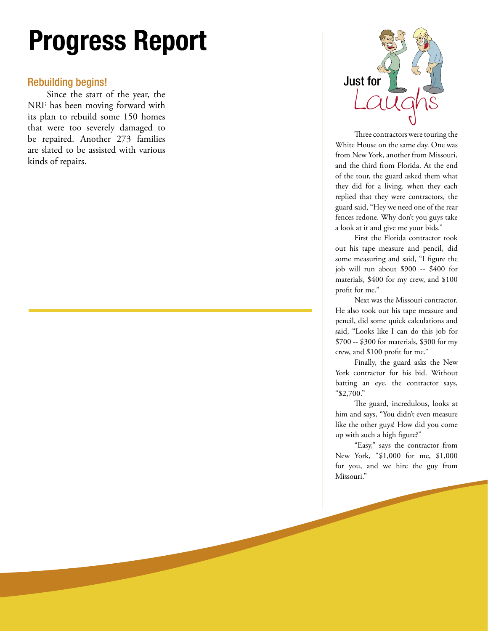# **Progress Report**

### Rebuilding begins!

 Since the start of the year, the NRF has been moving forward with its plan to rebuild some 150 homes that were too severely damaged to be repaired. Another 273 families are slated to be assisted with various kinds of repairs.



Three contractors were touring the White House on the same day. One was from New York, another from Missouri, and the third from Florida. At the end of the tour, the guard asked them what they did for a living. when they each replied that they were contractors, the guard said, "Hey we need one of the rear fences redone. Why don't you guys take a look at it and give me your bids."

 First the Florida contractor took out his tape measure and pencil, did some measuring and said, "I figure the job will run about \$900 -- \$400 for materials, \$400 for my crew, and \$100 profit for me."

 Next was the Missouri contractor. He also took out his tape measure and pencil, did some quick calculations and said, "Looks like I can do this job for \$700 -- \$300 for materials, \$300 for my crew, and \$100 profit for me."

 Finally, the guard asks the New York contractor for his bid. Without batting an eye, the contractor says, "\$2,700."

 The guard, incredulous, looks at him and says, "You didn't even measure like the other guys! How did you come up with such a high figure?"

 "Easy," says the contractor from New York, "\$1,000 for me, \$1,000 for you, and we hire the guy from Missouri."